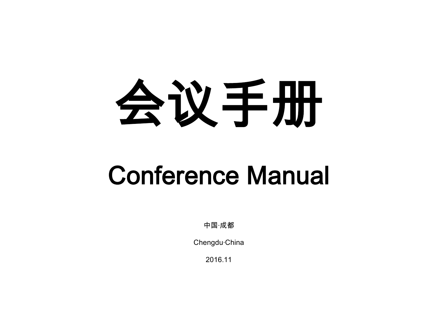# 会议手册

# Conference Manual

中国·成都

Chengdu·China

2016.11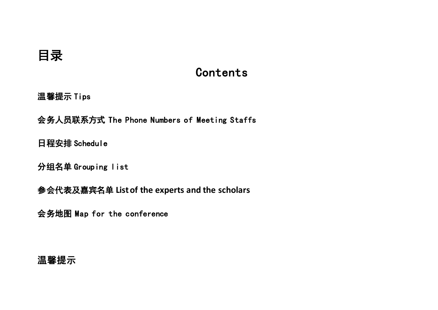# 目录

# **Contents**

温馨提示 Tips

会务人员联系方式 The Phone Numbers of Meeting Staffs

日程安排 Schedule

分组名单 Grouping list

参会代表及嘉宾名单 **List of the experts and the scholars** 

会务地图 Map for the conference

# 温馨提示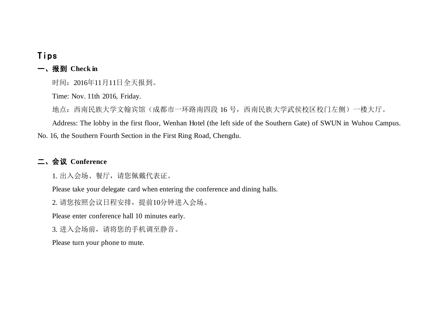# Tips

#### 一、报到 **Check in**

时间:2016年11月11日全天报到。

Time: Nov. 11th 2016, Friday.

地点:西南民族大学文翰宾馆(成都市一环路南四段 16 号,西南民族大学武侯校区校门左侧)一楼大厅。

Address: The lobby in the first floor, Wenhan Hotel (the left side of the Southern Gate) of SWUN in Wuhou Campus. No. 16, the Southern Fourth Section in the First Ring Road, Chengdu.

### 二、会议 **Conference**

1. 出入会场、餐厅,请您佩戴代表证。

Please take your delegate card when entering the conference and dining halls.

2. 请您按照会议日程安排,提前10分钟进入会场。

Please enter conference hall 10 minutes early.

3. 进入会场前, 请将您的手机调至静音。

Please turn your phone to mute.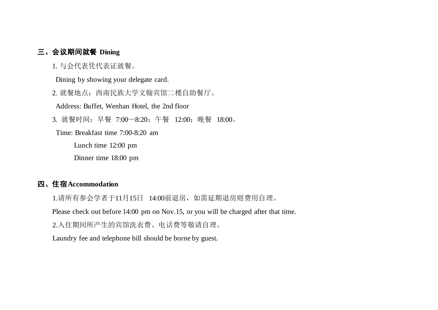#### 三、会议期间就餐 **Dining**

1. 与会代表凭代表证就餐。

Dining by showing your delegate card.

2. 就餐地点:西南民族大学文翰宾馆二楼自助餐厅。

Address: Buffet, Wenhan Hotel, the 2nd floor

3. 就餐时间:早餐 7:00—8:20;午餐 12:00;晚餐 18:00。

Time: Breakfast time 7:00-8:20 am

Lunch time 12:00 pm

Dinner time 18:00 pm

#### 四、住宿**Accommodation**

1.请所有参会学者于11月15日 14:00前退房,如需延期退房则费用自理。

Please check out before 14:00 pm on Nov.15, or you will be charged after that time.

2.入住期间所产生的宾馆洗衣费、电话费等敬请自理。

Laundry fee and telephone bill should be borne by guest.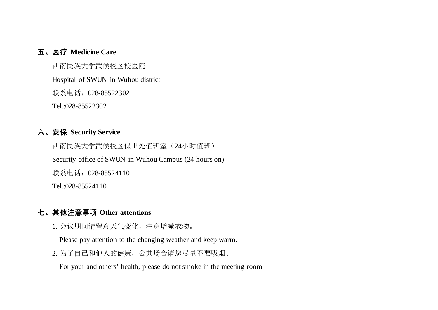#### 五、医疗 **Medicine Care**

西南民族大学武侯校区校医院

Hospital of SWUN in Wuhou district

联系电话: 028-85522302

Tel.:028-85522302

#### 六、安保 **Security Service**

西南民族大学武侯校区保卫处值班室(24小时值班) Security office of SWUN in Wuhou Campus (24 hours on) 联系电话: 028-85524110 Tel.:028-85524110

#### 七、其他注意事项 **Other attentions**

1. 会议期间请留意天气变化,注意增减衣物。

Please pay attention to the changing weather and keep warm.

2. 为了自己和他人的健康,公共场合请您尽量不要吸烟。

For your and others' health, please do not smoke in the meeting room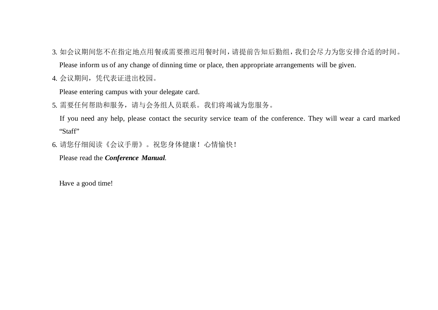3. 如会议期间您不在指定地点用餐或需要推迟用餐时间,请提前告知后勤组,我们会尽力为您安排合适的时间。

Please inform us of any change of dinning time or place, then appropriate arrangements will be given.

4. 会议期间,凭代表证进出校园。

Please entering campus with your delegate card.

5. 需要任何帮助和服务,请与会务组人员联系。我们将竭诚为您服务。

 If you need any help, please contact the security service team of the conference. They will wear a card marked "Staff"

6. 请您仔细阅读《会议手册》。祝您身体健康!心情愉快!

Please read the *Conference Manual.* 

Have a good time!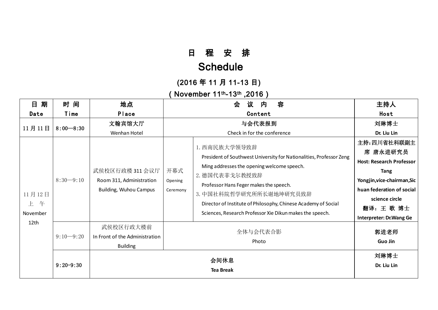# 日 程 安 排

# **Schedule**

# (2016 年 11 月 11-13 日)

(November 11th-13th ,2016)

| 期<br>日                       | 时间            | 地点                                                                           |                            | 议<br>内<br>容<br>会                                                                                                                                                                                                                                                                                                                                        | 主持人                                                                                                                                                                                                   |
|------------------------------|---------------|------------------------------------------------------------------------------|----------------------------|---------------------------------------------------------------------------------------------------------------------------------------------------------------------------------------------------------------------------------------------------------------------------------------------------------------------------------------------------------|-------------------------------------------------------------------------------------------------------------------------------------------------------------------------------------------------------|
| Date                         | Time          | Place                                                                        |                            | Content                                                                                                                                                                                                                                                                                                                                                 | Host                                                                                                                                                                                                  |
| 11月11日                       | $8:00 - 8:30$ | 文翰宾馆大厅<br>Wenhan Hotel                                                       |                            | 与会代表报到<br>Check in for the conference                                                                                                                                                                                                                                                                                                                   | 刘琳博士<br>Dr. Liu Lin                                                                                                                                                                                   |
| 11月12日<br>午<br>上<br>November | $8:30 - 9:10$ | 武侯校区行政楼 311 会议厅<br>Room 311, Administration<br><b>Building, Wuhou Campus</b> | 开幕式<br>Opening<br>Ceremony | 1. 西南民族大学领导致辞<br>President of Southwest University for Nationalities, Professor Zeng<br>Ming addresses the opening welcome speech.<br>2. 德国代表菲戈尔教授致辞<br>Professor Hans Feger makes the speech.<br>3. 中国社科院哲学研究所所长谢地坤研究员致辞<br>Director of Institute of Philosophy, Chinese Academy of Social<br>Sciences, Research Professor Xie Dikun makes the speech. | 主持:四川省社科联副主<br>席 唐永进研究员<br><b>Host: Research Professor</b><br><b>Tang</b><br>Yongjin, vice-chairman, Sic<br>huan federation of social<br>science circle<br>翻译:王歌博士<br><b>Interpreter: Dr. Wang Ge</b> |
| 12th                         | $9:10 - 9:20$ | 武侯校区行政大楼前<br>In Front of the Administration<br><b>Building</b>               |                            | 全体与会代表合影<br>Photo                                                                                                                                                                                                                                                                                                                                       | 郭进老师<br><b>Guo Jin</b>                                                                                                                                                                                |
|                              | $9:20 - 9:30$ |                                                                              |                            | 会间休息<br><b>Tea Break</b>                                                                                                                                                                                                                                                                                                                                | 刘琳博士<br>Dr. Liu Lin                                                                                                                                                                                   |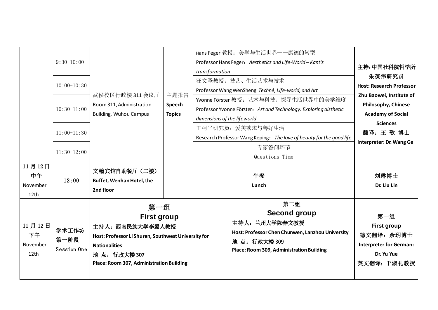|                                              | $9:30-10:00$<br>$10:00-10:30$<br>$10:30-11:00$<br>$11:00-11:30$<br>$11:30-12:00$ | 武侯校区行政楼 311 会议厅<br>Room 311, Administration<br><b>Building, Wuhou Campus</b>                                                                                                              | Hans Feger 教授: 美学与生活世界——康德的转型<br>Professor Hans Feger: Aesthetics and Life-World - Kant's<br>transformation<br>汪文圣教授: 技艺、生活艺术与技术<br>Professor Wang WenSheng Techné, Life-world, and Art<br>主题报告<br>Yvonne Förster 教授: 艺术与科技: 探寻生活世界中的美学维度<br>Speech<br>Professor Yvonne Förster: Art and Technology: Exploring aisthetic<br><b>Topics</b><br>dimensions of the lifeworld<br>王柯平研究员: 爱美欲求与善好生活<br>Research Professor Wang Keping: The love of beauty for the good life<br>专家答问环节<br>Questions Time<br>午餐<br>Lunch |  | 主持:中国社科院哲学所<br>朱葆伟研究员<br><b>Host: Research Professor</b><br>Zhu Baowei, Institute of<br>Philosophy, Chinese<br><b>Academy of Social</b><br><b>Sciences</b><br>翻译:王歌博士<br>Interpreter: Dr. Wang Ge |                                                                                                        |
|----------------------------------------------|----------------------------------------------------------------------------------|-------------------------------------------------------------------------------------------------------------------------------------------------------------------------------------------|------------------------------------------------------------------------------------------------------------------------------------------------------------------------------------------------------------------------------------------------------------------------------------------------------------------------------------------------------------------------------------------------------------------------------------------------------------------------------------------------------------------|--|---------------------------------------------------------------------------------------------------------------------------------------------------------------------------------------------------|--------------------------------------------------------------------------------------------------------|
| 11月12日<br>中午<br>November<br>12th             | 12:00                                                                            | 文翰宾馆自助餐厅(二楼)<br>Buffet, Wenhan Hotel, the<br>2nd floor                                                                                                                                    |                                                                                                                                                                                                                                                                                                                                                                                                                                                                                                                  |  | 刘琳博士<br>Dr. Liu Lin                                                                                                                                                                               |                                                                                                        |
| 11月12日<br>下午<br>November<br>12 <sub>th</sub> | 学术工作坊<br>第一阶段<br>Session One                                                     | 第一组<br><b>First group</b><br>主持人: 西南民族大学李蜀人教授<br>Host: Professor Li Shuren, Southwest University for<br><b>Nationalities</b><br>地 点: 行政大楼 307<br>Place: Room 307, Administration Building |                                                                                                                                                                                                                                                                                                                                                                                                                                                                                                                  |  | 第二组<br><b>Second group</b><br>主持人: 兰州大学陈春文教授<br>Host: Professor Chen Chunwen, Lanzhou University<br>地 点: 行政大楼 309<br>Place: Room 309, Administration Building                                     | 第一组<br><b>First group</b><br>德文翻译: 余玥博士<br><b>Interpreter for German:</b><br>Dr. Yu Yue<br>英文翻译: 于淑礼教授 |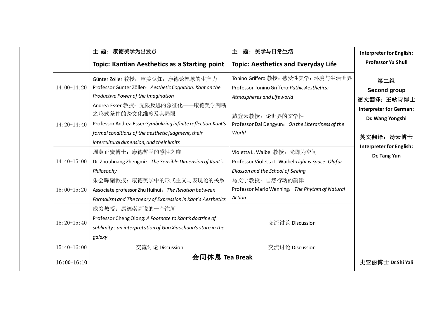|               | 主题: 康德美学为出发点<br>Topic: Kantian Aesthetics as a Starting point                                                                                                                                                                  | 题: 美学与日常生活<br>主<br><b>Topic: Aesthetics and Everyday Life</b>                                                             | <b>Interpreter for English:</b><br><b>Professor Yu Shuli</b>     |
|---------------|--------------------------------------------------------------------------------------------------------------------------------------------------------------------------------------------------------------------------------|---------------------------------------------------------------------------------------------------------------------------|------------------------------------------------------------------|
| $14:00-14:20$ | Günter Zöller 教授: 审美认知: 康德论想象的生产力<br>Professor Günter Zöller: Aesthetic Cognition. Kant on the<br>Productive Power of the Imagination                                                                                          | Tonino Griffero 教授: 感受性美学: 环境与生活世界<br>Professor Tonino Griffero: Pathic Aesthetics:<br>Atmospheres and Lifeworld          | 第二组<br>Second group<br>德文翻译:王咏诗博士                                |
| $14:20-14:40$ | Andrea Esser 教授: 无限反思的象征化-<br>-康德美学判断<br>之形式条件的跨文化维度及其局限<br>Professor Andrea Esser: Symbolizing infinite reflection. Kant's<br>formal conditions of the aesthetic judgment, their<br>intercultural dimension, and their limits | 戴登云教授: 论世界的文学性<br>Professor Dai Dengyun: On the Literariness of the<br>World                                              | <b>Interpreter for German:</b><br>Dr. Wang Yongshi<br>英文翻译: 汤云博士 |
| $14:40-15:00$ | 周黄正蜜博士: 康德哲学的感性之维<br>Dr. Zhouhuang Zhengmi: The Sensible Dimension of Kant's<br>Philosophy                                                                                                                                     | Violetta L. Waibel 教授: 光即为空间<br>Professor Violetta L. Waibel: Light is Space. Olufur<br>Eliasson and the School of Seeing | <b>Interpreter for English:</b><br>Dr. Tang Yun                  |
| $15:00-15:20$ | 朱会晖副教授: 康德美学中的形式主义与表现论的关系<br>Associate professor Zhu Huihui: The Relation between<br>Formalism and The theory of Expression in Kant's Aesthetics                                                                               | 马文宁教授: 自然行动的韵律<br>Professor Mario Wenning: The Rhythm of Natural<br>Action                                                |                                                                  |
| $15:20-15:40$ | 成穷教授: 康德崇高说的一个注脚<br>Professor Cheng Qiong: A Footnote to Kant's doctrine of<br>sublimity: an interpretation of Guo Xiaochuan's stare in the<br>galaxy                                                                          | 交流讨论 Discussion                                                                                                           |                                                                  |
| $15:40-16:00$ | 交流讨论 Discussion                                                                                                                                                                                                                | 交流讨论 Discussion                                                                                                           |                                                                  |
| $16:00-16:10$ | 会间休息 Tea Break                                                                                                                                                                                                                 |                                                                                                                           | 史亚丽博士 Dr.Shi Yali                                                |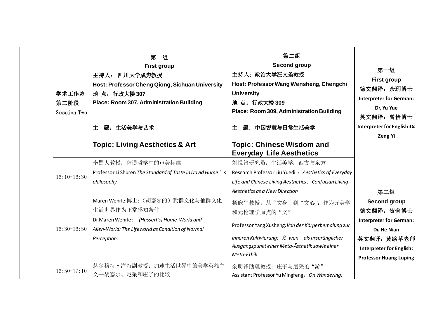| 学术工作坊<br>第二阶段<br>Session Two | 第一组<br><b>First group</b><br>主持人: 四川大学成穷教授<br>Host: Professor Cheng Qiong, Sichuan University<br>地 点: 行政大楼 307<br>Place: Room 307, Administration Building<br>题:生活美学与艺术<br>主<br><b>Topic: Living Aesthetics &amp; Art</b> | 第二组<br>Second group<br>主持人: 政治大学汪文圣教授<br>Host: Professor Wang Wensheng, Chengchi<br><b>University</b><br>地点: 行政大楼 309<br>Place: Room 309, Administration Building<br>中国智慧与日常生活美学<br>主<br>题:<br><b>Topic: Chinese Wisdom and</b><br><b>Everyday Life Aesthetics</b> | 第一组<br>First group<br>德文翻译: 余玥博士<br><b>Interpreter for German:</b><br>Dr. Yu Yue<br>英文翻译: 曾怡博士<br>Interpreter for English: Dr.<br>Zeng Yi                      |
|------------------------------|---------------------------------------------------------------------------------------------------------------------------------------------------------------------------------------------------------------------------|--------------------------------------------------------------------------------------------------------------------------------------------------------------------------------------------------------------------------------------------------------------------|----------------------------------------------------------------------------------------------------------------------------------------------------------------|
| $16:10-16:30$                | 李蜀人教授: 休谟哲学中的审美标准<br>Professor Li Shuren The Standard of Taste in David Hume's<br>philosophy                                                                                                                              | 刘悦笛研究员: 生活美学: 西方与东方<br>Research Professor Liu Yuedi : Aesthetics of Everyday<br>Life and Chinese Living Aesthetics: Confucian Living<br>Aesthetics as a New Direction                                                                                              | 第二组                                                                                                                                                            |
| $16:30-16:50$                | Maren Wehrle 博士: (胡塞尔的)我群文化与他群文化:<br>生活世界作为正常感知条件<br>Dr. Maren Wehrle: (Husserl's) Home-World and<br>Alien-World: The Lifeworld as Condition of Normal<br>Perception.<br>赫尔穆特·海特副教授: 加速生活世界中的美学英雄主                        | 杨煦生教授: 从"文身"到"文心": 作为元美学<br>和元伦理学原点的"文"<br>Professor Yang Xusheng: Von der Körperbemalung zur<br>inneren Kultivierung: $\overrightarrow{\mathcal{X}}$ wen als ursprünglicher<br>Ausgangspunkt einer Meta-Ästhetik sowie einer<br>Meta-Ethik                        | Second group<br>德文翻译: 贺念博士<br><b>Interpreter for German:</b><br>Dr. He Nian<br>英文翻译: 黄路苹老师<br><b>Interpreter for English:</b><br><b>Professor Huang Luping</b> |
| $16:50-17:10$                | 义一胡塞尔、尼采和庄子的比较                                                                                                                                                                                                            | 余明锋助理教授: 庄子与尼采论"游"<br>Assistant Professor Yu Mingfeng: On Wandering:                                                                                                                                                                                               |                                                                                                                                                                |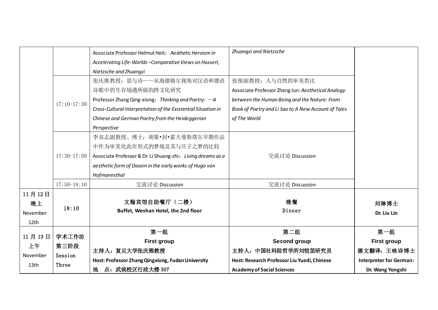|          |                        | Associate Professor Helmut Heit: Aesthetic Heroism in         | Zhuangzi and Nietzsche                              |                                |
|----------|------------------------|---------------------------------------------------------------|-----------------------------------------------------|--------------------------------|
|          |                        | Accelerating Life-Worlds-Comparative Views on Husserl,        |                                                     |                                |
|          | Nietzsche and Zhuangzi |                                                               |                                                     |                                |
|          |                        | 张庆熊教授: 思与诗——从海德格尔视角对汉语和德语                                     | 张俊副教授: 人与自然的审美类比                                    |                                |
|          |                        | 诗歌中的生存境遇所做的跨文化研究                                              | Associate Professor Zhang Jun: Aesthetical Analogy  |                                |
|          | $17:10-17:30$          | Professor Zhang Qing-xiong: Thinking and Poetry: - A          | between the Human Being and the Nature: From        |                                |
|          |                        | Cross-Cultural Interpretation of the Existential Situation in | Book of Poetry and Li Sao to A New Account of Tales |                                |
|          |                        | Chinese and German Poetry from the Heideggerian               | of The World                                        |                                |
|          |                        | Perspective                                                   |                                                     |                                |
|          |                        | 李双志副教授、博士: 胡果·封·霍夫曼斯塔尔早期作品                                    |                                                     |                                |
|          |                        | 中作为审美化此在形式的梦境及其与庄子之梦的比较                                       |                                                     |                                |
|          | $17:30-17:50$          | Associate Professor & Dr. Li Shuang-zhi: Living dreams as a   | 交流讨论 Discussion                                     |                                |
|          |                        | aesthetic form of Dasein in the early works of Hugo von       |                                                     |                                |
|          |                        | Hofmannsthal                                                  |                                                     |                                |
|          | $17:50-18:10$          | 交流讨论 Discussion                                               | 交流讨论 Discussion                                     |                                |
| 11月12日   |                        |                                                               |                                                     |                                |
| 晚上       |                        | 文翰宾馆自助餐厅(二楼)                                                  | 晚餐                                                  | 刘琳博士                           |
| November | 18:10                  | Buffet, Wenhan Hotel, the 2nd floor                           | Dinner                                              | Dr. Liu Lin                    |
| 12th     |                        |                                                               |                                                     |                                |
|          |                        | 第一组                                                           | 第二组                                                 | 第一组                            |
| 11月13日   | 学术工作坊                  | <b>First group</b>                                            | <b>Second group</b>                                 | <b>First group</b>             |
| 上午       | 第三阶段                   | 主持人: 复旦大学张庆熊教授                                                | 主持人: 中国社科院哲学所刘悦笛研究员                                 | 德文翻译:王咏诗博士                     |
| November | Session                | Host: Professor Zhang Qingxiong, Fudan University             | Host: Research Professor Liu Yuedi, Chinese         | <b>Interpreter for German:</b> |
| 13th     | Three                  | 点: 武侯校区行政大楼 307<br>地                                          | <b>Academy of Social Sciences</b>                   | Dr. Wang Yongshi               |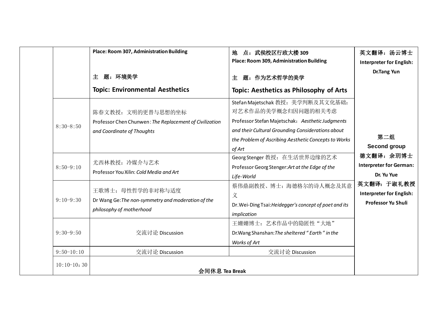|               | Place: Room 307, Administration Building                                                                    | 点: 武侯校区行政大楼 309<br>地<br>Place: Room 309, Administration Building                                                                                                                                                                    | 英文翻译: 汤云博士                                                                  |  |
|---------------|-------------------------------------------------------------------------------------------------------------|-------------------------------------------------------------------------------------------------------------------------------------------------------------------------------------------------------------------------------------|-----------------------------------------------------------------------------|--|
|               | 题: 环境美学<br>主                                                                                                | 题: 作为艺术哲学的美学<br>主                                                                                                                                                                                                                   | <b>Interpreter for English:</b><br>Dr.Tang Yun                              |  |
|               | <b>Topic: Environmental Aesthetics</b>                                                                      | <b>Topic: Aesthetics as Philosophy of Arts</b>                                                                                                                                                                                      |                                                                             |  |
| $8:30 - 8:50$ | 陈春文教授: 文明的更替与思想的坐标<br>Professor Chen Chunwen: The Replacement of Civilization<br>and Coordinate of Thoughts | Stefan Majetschak 教授: 美学判断及其文化基础:<br>对艺术作品的美学概念归因问题的相关考虑<br>Professor Stefan Majetschak: Aesthetic Judgments<br>and their Cultural Grounding Considerations about<br>the Problem of Ascribing Aesthetic Concepts to Works<br>of Art | 第二组<br>Second group                                                         |  |
| $8:50-9:10$   | 尤西林教授: 冷媒介与艺术<br>Professor You Xilin: Cold Media and Art                                                    | Georg Stenger 教授: 在生活世界边缘的艺术<br>Professor Georg Stenger: Art at the Edge of the<br>Life-World                                                                                                                                       | 德文翻译: 余玥博士<br><b>Interpreter for German:</b><br>Dr. Yu Yue                  |  |
| $9:10-9:30$   | 王歌博士: 母性哲学的非对称与适度<br>Dr Wang Ge: The non-symmetry and moderation of the<br>philosophy of motherhood         | 蔡伟鼎副教授、博士:海德格尔的诗人概念及其意<br>义<br>Dr. Wei-Ding Tsai: Heidegger's concept of poet and its<br>implication                                                                                                                                | 英文翻译: 于淑礼教授<br><b>Interpreter for English:</b><br><b>Professor Yu Shuli</b> |  |
| $9:30-9:50$   | 交流讨论 Discussion                                                                                             | 王姗姗博士: 艺术作品中的隐匿性"大地"<br>Dr. Wang Shanshan: The sheltered "Earth" in the<br>Works of Art                                                                                                                                             |                                                                             |  |
| $9:50-10:10$  | 交流讨论 Discussion                                                                                             | 交流讨论 Discussion                                                                                                                                                                                                                     |                                                                             |  |
| $10:10-10:30$ | 会间休息 Tea Break                                                                                              |                                                                                                                                                                                                                                     |                                                                             |  |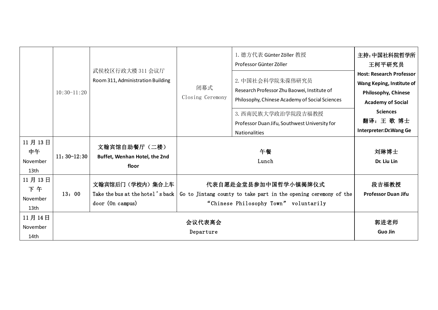|                                              | $10:30-11:20$ | 武侯校区行政大楼 311 会议厅<br>Room 311, Administration Building                     | 闭幕式<br>Closing Ceremony                                                                                                           | 1. 德方代表 Günter Zöller 教授<br>Professor Günter Zöller<br>2. 中国社会科学院朱葆伟研究员<br>Research Professor Zhu Baowei, Institute of<br>Philosophy, Chinese Academy of Social Sciences<br>3. 西南民族大学政治学院段吉福教授<br>Professor Duan Jifu, Southwest University for<br><b>Nationalities</b> | 主持:中国社科院哲学所<br>王柯平研究员<br><b>Host: Research Professor</b><br>Wang Keping, Institute of<br>Philosophy, Chinese<br><b>Academy of Social</b><br><b>Sciences</b><br>翻译:王歌博士<br>Interpreter: Dr. Wang Ge |
|----------------------------------------------|---------------|---------------------------------------------------------------------------|-----------------------------------------------------------------------------------------------------------------------------------|-------------------------------------------------------------------------------------------------------------------------------------------------------------------------------------------------------------------------------------------------------------------------|----------------------------------------------------------------------------------------------------------------------------------------------------------------------------------------------------|
| 11月13日<br>中午<br>November<br>13 <sub>th</sub> | $11:30-12:30$ | 文翰宾馆自助餐厅 (二楼)<br>Buffet, Wenhan Hotel, the 2nd<br>floor                   | 午餐<br>Lunch                                                                                                                       |                                                                                                                                                                                                                                                                         | 刘琳博士<br>Dr. Liu Lin                                                                                                                                                                                |
| 11月13日<br>下午<br>November<br>13th             | 13:00         | 文翰宾馆后门 (学校内) 集合上车<br>Take the bus at the hotel's back<br>door (On campus) | 代表自愿赴金堂县参加中国哲学小镇揭牌仪式<br>Go to Jintang county to take part in the opening ceremony of the<br>"Chinese Philosophy Town" voluntarily |                                                                                                                                                                                                                                                                         | 段吉福教授<br><b>Professor Duan Jifu</b>                                                                                                                                                                |
| 11月14日<br>November<br>14th                   |               | 会议代表离会<br>Departure                                                       |                                                                                                                                   |                                                                                                                                                                                                                                                                         | 郭进老师<br><b>Guo Jin</b>                                                                                                                                                                             |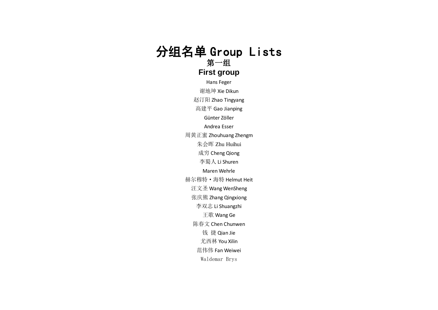# 分组名单 Group Lists 第一组 **First group**

Hans Feger 谢地坤 Xie Dikun 赵汀阳 Zhao Tingyang 高建平 Gao Jianping Günter Zöller Andrea Esser 周黄正蜜 Zhouhuang Zhengm 朱会晖 Zhu Huihui 成穷 Cheng Qiong 李蜀人 Li Shuren Maren Wehrle 赫尔穆特·海特 Helmut Heit 汪文圣 Wang WenSheng 张庆熊 Zhang Qingxiong 李双志 Li Shuangzhi 王歌 Wang Ge 陈春文 Chen Chunwen 钱 捷 Qian Jie 尤西林 You Xilin 范伟伟 Fan Weiwei Waldemar Brys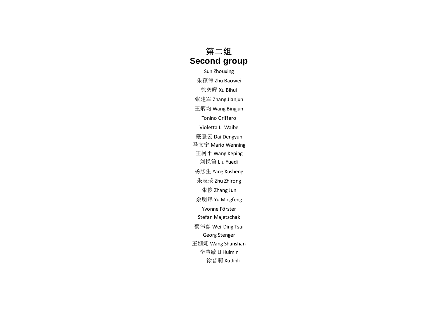#### 第二组 **Second group**

Sun Zhouxing 朱葆伟 Zhu Baowei 徐碧晖 Xu Bihui 张建军 Zhang Jianjun 王炳均 Wang Bingjun Tonino Griffero Violetta L. Waibe 戴登云 Dai Dengyun 马文宁 Mario Wenning 王柯平 Wang Keping 刘悦笛 Liu Yuedi 杨煦生 Yang Xusheng 朱志荣 Zhu Zhirong 张俊 Zhang Jun 余明锋 Yu Mingfeng Yvonne Förster Stefan Majetschak 蔡伟鼎 Wei-Ding Tsai Georg Stenger 王姗姗 Wang Shanshan 李慧敏 Li Huimin 徐晋莉 Xu Jinli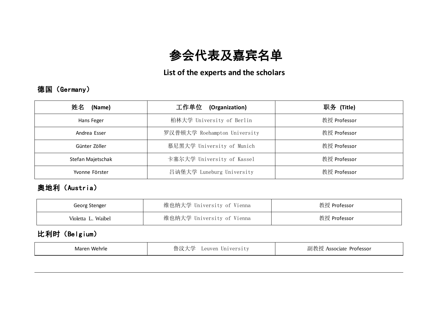# 参会代表及嘉宾名单

#### **List of the experts and the scholars**

#### 德国(Germany)

| 姓名<br>(Name)      | 工作单位<br>(Organization)       | 职务 (Title)   |
|-------------------|------------------------------|--------------|
| Hans Feger        | 柏林大学 University of Berlin    | 教授 Professor |
| Andrea Esser      | 罗汉普顿大学 Roehampton University | 教授 Professor |
| Günter Zöller     | 慕尼黑大学 University of Munich   | 教授 Professor |
| Stefan Majetschak | 卡塞尔大学 University of Kassel   | 教授 Professor |
| Yvonne Förster    | 吕讷堡大学 Luneburg University    | 教授 Professor |

#### 奥地利(Austria)

| Georg Stenger      | 维也纳大学 University of Vienna | 教授 Professor |
|--------------------|----------------------------|--------------|
| Violetta L. Waibel | 维也纳大学 University of Vienna | 教授 Professor |

#### 比利时(Belgium)

| Maren Wehrle | $-1.32$<br>鲁汶<br>Leuven University | 副教授<br>Associate Professor |
|--------------|------------------------------------|----------------------------|
|--------------|------------------------------------|----------------------------|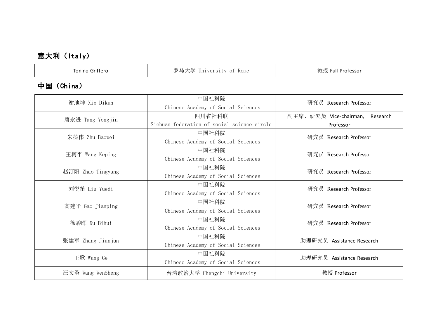# 意大利(Italy)

| Tonino<br>Griffero | 罒<br>Kome<br>$1.1.77 \cap 10 \cap 1 + 77$<br>$V \rightarrow$ | $\rightarrow$<br>老儿七<br>ofessor،<br><b>Dro</b><br>Ful. |
|--------------------|--------------------------------------------------------------|--------------------------------------------------------|
|--------------------|--------------------------------------------------------------|--------------------------------------------------------|

# 中国(China)

| 谢地坤 Xie Dikun     | 中国社科院                                       | 研究员 Research Professor             |  |
|-------------------|---------------------------------------------|------------------------------------|--|
|                   | Chinese Academy of Social Sciences          |                                    |  |
| 唐永进 Tang Yongjin  | 四川省社科联                                      | 副主席、研究员 Vice-chairman,<br>Research |  |
|                   | Sichuan federation of social science circle | Professor                          |  |
| 朱葆伟 Zhu Baowei    | 中国社科院                                       | 研究员 Research Professor             |  |
|                   | Chinese Academy of Social Sciences          |                                    |  |
| 王柯平 Wang Keping   | 中国社科院                                       | 研究员 Research Professor             |  |
|                   | Chinese Academy of Social Sciences          |                                    |  |
| 赵汀阳 Zhao Tingyang | 中国社科院                                       | 研究员 Research Professor             |  |
|                   | Chinese Academy of Social Sciences          |                                    |  |
| 刘悦笛 Liu Yuedi     | 中国社科院                                       | 研究员 Research Professor             |  |
|                   | Chinese Academy of Social Sciences          |                                    |  |
| 高建平 Gao Jianping  | 中国社科院                                       | 研究员 Research Professor             |  |
|                   | Chinese Academy of Social Sciences          |                                    |  |
| 徐碧晖 Xu Bihui      | 中国社科院                                       | 研究员 Research Professor             |  |
|                   | Chinese Academy of Social Sciences          |                                    |  |
|                   | 中国社科院                                       | 助理研究员 Assistance Research          |  |
| 张建军 Zhang Jianjun | Chinese Academy of Social Sciences          |                                    |  |
| 王歌 Wang Ge        | 中国社科院                                       | 助理研究员 Assistance Research          |  |
|                   | Chinese Academy of Social Sciences          |                                    |  |
| 汪文圣 Wang WenSheng | 台湾政治大学 Chengchi University                  | 教授 Professor                       |  |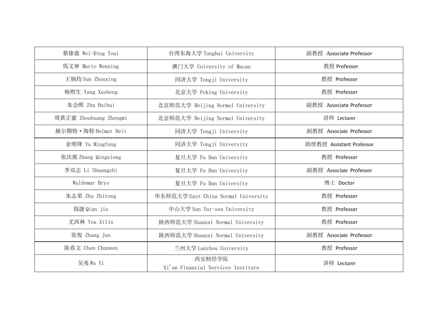| 蔡偉鼎 Wei-Ding Tsai      | 台湾东海大学 Tunghai University                    | 副教授 Associate Professor  |
|------------------------|----------------------------------------------|--------------------------|
| 馬文寧 Mario Wenning      | 澳门大学 University of Macau                     | 教授 Professor             |
| 王炳均 Sun Zhouxing       | 同济大学 Tongji University                       | 教授 Professor             |
| 杨煦生 Yang Xusheng       | 北京大学 Peking University                       | 教授 Professor             |
| 朱会晖 Zhu Huihui         | 北京师范大学 Beijing Normal University             | 副教授 Associate Professor  |
| 周黄正蜜 Zhouhuang Zhengmi | 北京师范大学 Beijing Normal University             | 讲师 Lecturer              |
| 赫尔穆特 • 海特 Helmut Heit  | 同济大学 Tongji University                       | 副教授 Associate Professor  |
| 余明锋 Yu Mingfeng        | 同济大学 Tongji University                       | 助理教授 Assistant Professor |
| 张庆熊 Zhang Qingxiong    | 复旦大学 Fu Dan University                       | 教授 Professor             |
| 李双志 Li Shuangzhi       | 复旦大学 Fu Dan University                       | 副教授 Associate Professor  |
| Waldemar Brys          | 复旦大学 Fu Dan University                       | 博士 Doctor                |
| 朱志荣 Zhu Zhirong        | 华东师范大学 East China Normal University          | 教授 Professor             |
| 钱捷 Qian jie            | 中山大学 Sun Yat-sen University                  | 教授 Professor             |
| 尤西林 You Xilin          | 陕西师范大学 Shaanxi Normal University             | 教授 Professor             |
| 张俊 Zhang Jun           | 陕西师范大学 Shaanxi Normal University             | 副教授 Associate Professor  |
| 陈春文 Chen Chunwen       | 兰州大学 Lanzhou University                      | 教授 Professor             |
| 吴夷 Wu Yi               | 西安财经学院<br>Xi'an Financial Services Institute | 讲师 Lecturer              |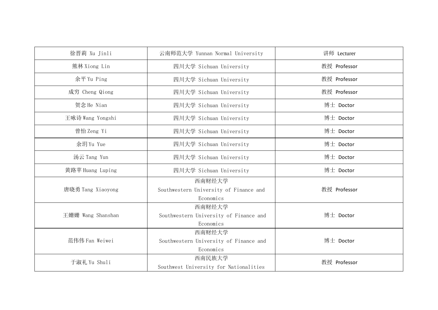| 徐晋莉 Xu Jinli      | 云南师范大学 Yunnan Normal University                               | 讲师 Lecturer  |
|-------------------|---------------------------------------------------------------|--------------|
| 熊林 Xiong Lin      | 四川大学 Sichuan University                                       | 教授 Professor |
| 余平 Yu Ping        | 四川大学 Sichuan University                                       | 教授 Professor |
| 成穷 Cheng Qiong    | 四川大学 Sichuan University                                       | 教授 Professor |
| 贺念 He Nian        | 四川大学 Sichuan University                                       | 博士 Doctor    |
| 王咏诗 Wang Yongshi  | 四川大学 Sichuan University                                       | 博士 Doctor    |
| 曾怡 Zeng Yi        | 四川大学 Sichuan University                                       | 博士 Doctor    |
| 余玥 Yu Yue         | 四川大学 Sichuan University                                       | 博士 Doctor    |
| 汤云 Tang Yun       | 四川大学 Sichuan University                                       | 博士 Doctor    |
| 黄路苹 Huang Luping  | 四川大学 Sichuan University                                       | 博士 Doctor    |
| 唐晓勇 Tang Xiaoyong | 西南财经大学<br>Southwestern University of Finance and<br>Economics | 教授 Professor |
| 王姗姗 Wang Shanshan | 西南财经大学<br>Southwestern University of Finance and<br>Economics | 博士 Doctor    |
| 范伟伟 Fan Weiwei    | 西南财经大学<br>Southwestern University of Finance and<br>Economics | 博士 Doctor    |
| 于淑礼 Yu Shuli      | 西南民族大学<br>Southwest University for Nationalities              | 教授 Professor |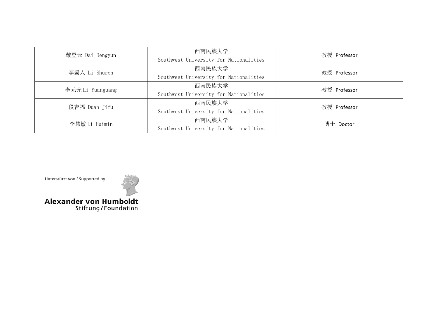| 戴登云 Dai Dengyun  | 西南民族大学                                 | 教授 Professor |
|------------------|----------------------------------------|--------------|
|                  | Southwest University for Nationalities |              |
| 李蜀人 Li Shuren    | 西南民族大学                                 | 教授 Professor |
|                  | Southwest University for Nationalities |              |
| 李元光 Li Yuanguang | 西南民族大学                                 | 教授 Professor |
|                  | Southwest University for Nationalities |              |
| 段吉福 Duan Jifu    | 西南民族大学                                 | 教授 Professor |
|                  | Southwest University for Nationalities |              |
| 李慧敏 Li Huimin    | 西南民族大学                                 | 博士 Doctor    |
|                  | Southwest University for Nationalities |              |

Unterstützt von / Supported by



Alexander von Humboldt<br>Stiftung/Foundation